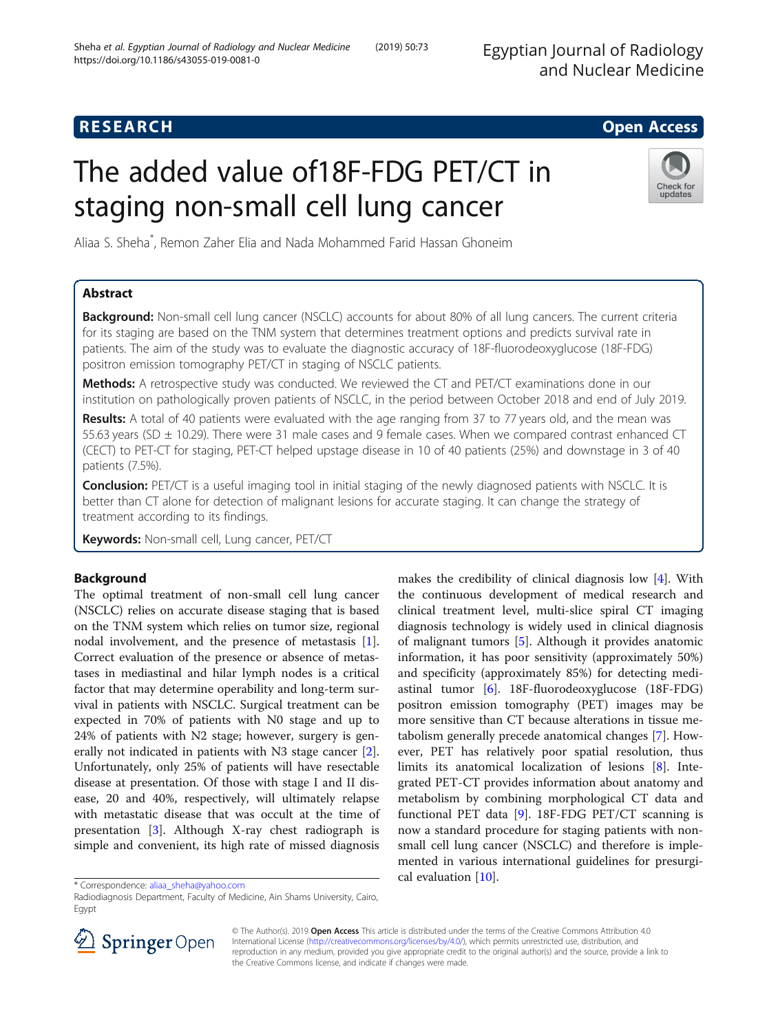# **RESEARCH CHE Open Access**

# The added value of18F-FDG PET/CT in staging non-small cell lung cancer



Aliaa S. Sheha\* , Remon Zaher Elia and Nada Mohammed Farid Hassan Ghoneim

# Abstract

Background: Non-small cell lung cancer (NSCLC) accounts for about 80% of all lung cancers. The current criteria for its staging are based on the TNM system that determines treatment options and predicts survival rate in patients. The aim of the study was to evaluate the diagnostic accuracy of 18F-fluorodeoxyglucose (18F-FDG) positron emission tomography PET/CT in staging of NSCLC patients.

Methods: A retrospective study was conducted. We reviewed the CT and PET/CT examinations done in our institution on pathologically proven patients of NSCLC, in the period between October 2018 and end of July 2019.

Results: A total of 40 patients were evaluated with the age ranging from 37 to 77 years old, and the mean was 55.63 years (SD  $\pm$  10.29). There were 31 male cases and 9 female cases. When we compared contrast enhanced CT (CECT) to PET-CT for staging, PET-CT helped upstage disease in 10 of 40 patients (25%) and downstage in 3 of 40 patients (7.5%).

Conclusion: PET/CT is a useful imaging tool in initial staging of the newly diagnosed patients with NSCLC. It is better than CT alone for detection of malignant lesions for accurate staging. It can change the strategy of treatment according to its findings.

Keywords: Non-small cell, Lung cancer, PET/CT

# Background

The optimal treatment of non-small cell lung cancer (NSCLC) relies on accurate disease staging that is based on the TNM system which relies on tumor size, regional nodal involvement, and the presence of metastasis [\[1](#page-6-0)]. Correct evaluation of the presence or absence of metastases in mediastinal and hilar lymph nodes is a critical factor that may determine operability and long-term survival in patients with NSCLC. Surgical treatment can be expected in 70% of patients with N0 stage and up to 24% of patients with N2 stage; however, surgery is generally not indicated in patients with N3 stage cancer [\[2](#page-6-0)]. Unfortunately, only 25% of patients will have resectable disease at presentation. Of those with stage I and II disease, 20 and 40%, respectively, will ultimately relapse with metastatic disease that was occult at the time of presentation [[3\]](#page-6-0). Although X-ray chest radiograph is simple and convenient, its high rate of missed diagnosis

makes the credibility of clinical diagnosis low [\[4](#page-7-0)]. With the continuous development of medical research and clinical treatment level, multi-slice spiral CT imaging diagnosis technology is widely used in clinical diagnosis of malignant tumors [\[5](#page-7-0)]. Although it provides anatomic information, it has poor sensitivity (approximately 50%) and specificity (approximately 85%) for detecting mediastinal tumor [\[6](#page-7-0)]. 18F-fluorodeoxyglucose (18F-FDG) positron emission tomography (PET) images may be more sensitive than CT because alterations in tissue metabolism generally precede anatomical changes [\[7](#page-7-0)]. However, PET has relatively poor spatial resolution, thus limits its anatomical localization of lesions [[8](#page-7-0)]. Integrated PET-CT provides information about anatomy and metabolism by combining morphological CT data and functional PET data  $[9]$  $[9]$  $[9]$ . 18F-FDG PET/CT scanning is now a standard procedure for staging patients with nonsmall cell lung cancer (NSCLC) and therefore is implemented in various international guidelines for presurgical evaluation [[10\]](#page-7-0).

Radiodiagnosis Department, Faculty of Medicine, Ain Shams University, Cairo, Egypt



© The Author(s). 2019 Open Access This article is distributed under the terms of the Creative Commons Attribution 4.0 International License ([http://creativecommons.org/licenses/by/4.0/\)](http://creativecommons.org/licenses/by/4.0/), which permits unrestricted use, distribution, and reproduction in any medium, provided you give appropriate credit to the original author(s) and the source, provide a link to the Creative Commons license, and indicate if changes were made.

<sup>\*</sup> Correspondence: [aliaa\\_sheha@yahoo.com](mailto:aliaa_sheha@yahoo.com)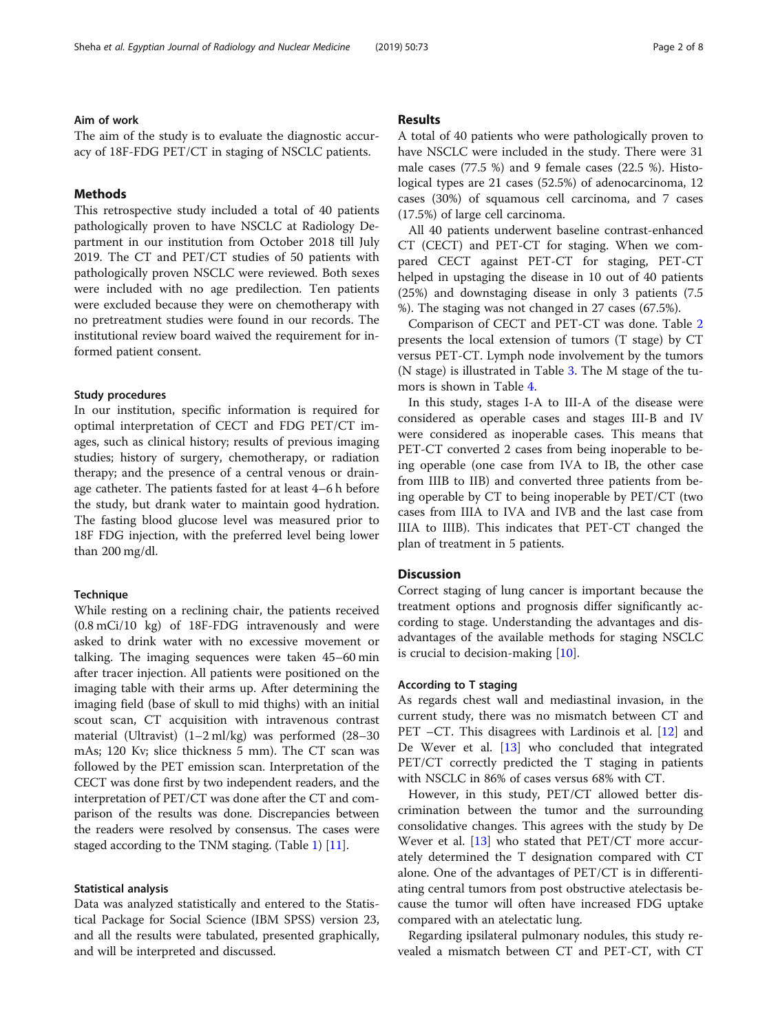#### Aim of work

The aim of the study is to evaluate the diagnostic accuracy of 18F-FDG PET/CT in staging of NSCLC patients.

#### Methods

This retrospective study included a total of 40 patients pathologically proven to have NSCLC at Radiology Department in our institution from October 2018 till July 2019. The CT and PET/CT studies of 50 patients with pathologically proven NSCLC were reviewed. Both sexes were included with no age predilection. Ten patients were excluded because they were on chemotherapy with no pretreatment studies were found in our records. The institutional review board waived the requirement for informed patient consent.

#### Study procedures

In our institution, specific information is required for optimal interpretation of CECT and FDG PET/CT images, such as clinical history; results of previous imaging studies; history of surgery, chemotherapy, or radiation therapy; and the presence of a central venous or drainage catheter. The patients fasted for at least 4–6 h before the study, but drank water to maintain good hydration. The fasting blood glucose level was measured prior to 18F FDG injection, with the preferred level being lower than 200 mg/dl.

#### **Technique**

While resting on a reclining chair, the patients received (0.8 mCi/10 kg) of 18F-FDG intravenously and were asked to drink water with no excessive movement or talking. The imaging sequences were taken 45–60 min after tracer injection. All patients were positioned on the imaging table with their arms up. After determining the imaging field (base of skull to mid thighs) with an initial scout scan, CT acquisition with intravenous contrast material (Ultravist) (1–2 ml/kg) was performed (28–30 mAs; 120 Kv; slice thickness 5 mm). The CT scan was followed by the PET emission scan. Interpretation of the CECT was done first by two independent readers, and the interpretation of PET/CT was done after the CT and comparison of the results was done. Discrepancies between the readers were resolved by consensus. The cases were staged according to the TNM staging. (Table [1\)](#page-2-0) [\[11](#page-7-0)].

### Statistical analysis

Data was analyzed statistically and entered to the Statistical Package for Social Science (IBM SPSS) version 23, and all the results were tabulated, presented graphically, and will be interpreted and discussed.

#### Results

A total of 40 patients who were pathologically proven to have NSCLC were included in the study. There were 31 male cases (77.5 %) and 9 female cases (22.5 %). Histological types are 21 cases (52.5%) of adenocarcinoma, 12 cases (30%) of squamous cell carcinoma, and 7 cases (17.5%) of large cell carcinoma.

All 40 patients underwent baseline contrast-enhanced CT (CECT) and PET-CT for staging. When we compared CECT against PET-CT for staging, PET-CT helped in upstaging the disease in 10 out of 40 patients (25%) and downstaging disease in only 3 patients (7.5 %). The staging was not changed in 27 cases (67.5%).

Comparison of CECT and PET-CT was done. Table [2](#page-3-0) presents the local extension of tumors (T stage) by CT versus PET-CT. Lymph node involvement by the tumors (N stage) is illustrated in Table [3.](#page-3-0) The M stage of the tumors is shown in Table [4.](#page-4-0)

In this study, stages I-A to III-A of the disease were considered as operable cases and stages III-B and IV were considered as inoperable cases. This means that PET-CT converted 2 cases from being inoperable to being operable (one case from IVA to IB, the other case from IIIB to IIB) and converted three patients from being operable by CT to being inoperable by PET/CT (two cases from IIIA to IVA and IVB and the last case from IIIA to IIIB). This indicates that PET-CT changed the plan of treatment in 5 patients.

#### **Discussion**

Correct staging of lung cancer is important because the treatment options and prognosis differ significantly according to stage. Understanding the advantages and disadvantages of the available methods for staging NSCLC is crucial to decision-making [[10\]](#page-7-0).

#### According to T staging

As regards chest wall and mediastinal invasion, in the current study, there was no mismatch between CT and PET –CT. This disagrees with Lardinois et al. [[12](#page-7-0)] and De Wever et al. [\[13\]](#page-7-0) who concluded that integrated PET/CT correctly predicted the T staging in patients with NSCLC in 86% of cases versus 68% with CT.

However, in this study, PET/CT allowed better discrimination between the tumor and the surrounding consolidative changes. This agrees with the study by De Wever et al. [\[13\]](#page-7-0) who stated that PET/CT more accurately determined the T designation compared with CT alone. One of the advantages of PET/CT is in differentiating central tumors from post obstructive atelectasis because the tumor will often have increased FDG uptake compared with an atelectatic lung.

Regarding ipsilateral pulmonary nodules, this study revealed a mismatch between CT and PET-CT, with CT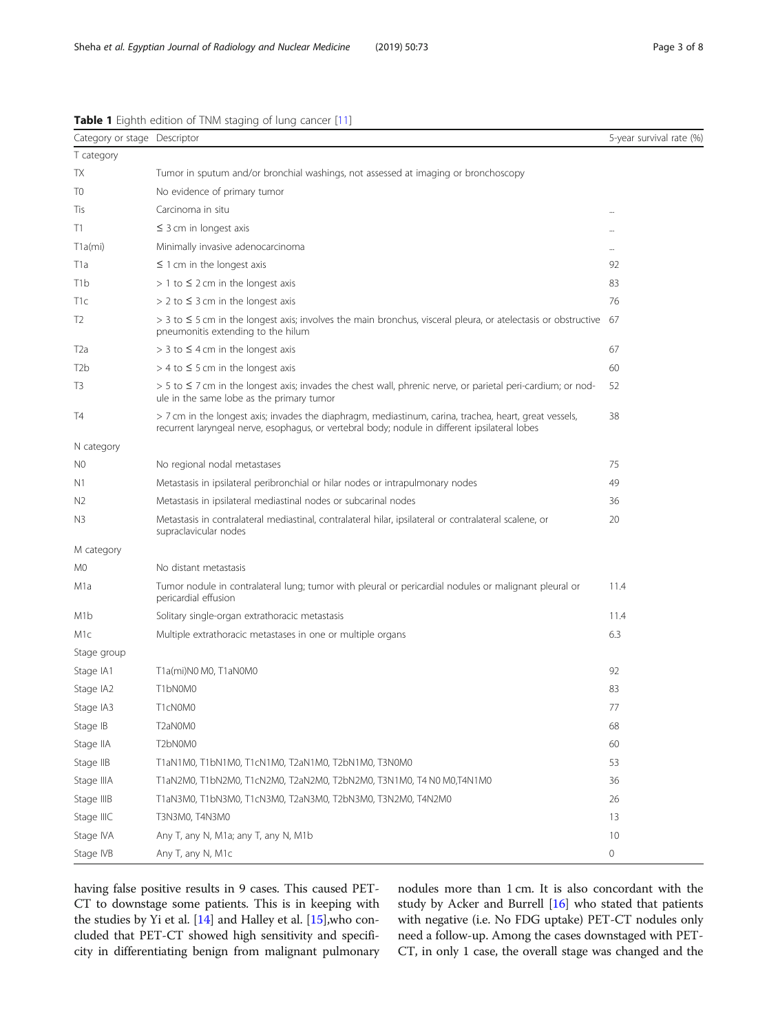| Category or stage Descriptor |                                                                                                                                                                                                          | 5-year survival rate (%) |
|------------------------------|----------------------------------------------------------------------------------------------------------------------------------------------------------------------------------------------------------|--------------------------|
| T category                   |                                                                                                                                                                                                          |                          |
| TX                           | Tumor in sputum and/or bronchial washings, not assessed at imaging or bronchoscopy                                                                                                                       |                          |
| T0                           | No evidence of primary tumor                                                                                                                                                                             |                          |
| Tis                          | Carcinoma in situ                                                                                                                                                                                        |                          |
| T1                           | $\leq$ 3 cm in longest axis                                                                                                                                                                              |                          |
| $T1a$ (mi)                   | Minimally invasive adenocarcinoma                                                                                                                                                                        |                          |
| T1a                          | $\leq$ 1 cm in the longest axis                                                                                                                                                                          | 92                       |
| T1b                          | $> 1$ to $\leq$ 2 cm in the longest axis                                                                                                                                                                 | 83                       |
| T1c                          | $> 2$ to $\leq 3$ cm in the longest axis                                                                                                                                                                 | 76                       |
| T2                           | $>$ 3 to $\leq$ 5 cm in the longest axis; involves the main bronchus, visceral pleura, or atelectasis or obstructive<br>pneumonitis extending to the hilum                                               | 67                       |
| T2a                          | $>$ 3 to $\leq$ 4 cm in the longest axis                                                                                                                                                                 | 67                       |
| T2b                          | $>$ 4 to $\leq$ 5 cm in the longest axis                                                                                                                                                                 | 60                       |
| T3                           | $> 5$ to $\leq$ 7 cm in the longest axis; invades the chest wall, phrenic nerve, or parietal peri-cardium; or nod-<br>ule in the same lobe as the primary tumor                                          | 52                       |
| T4                           | > 7 cm in the longest axis; invades the diaphragm, mediastinum, carina, trachea, heart, great vessels,<br>recurrent laryngeal nerve, esophagus, or vertebral body; nodule in different ipsilateral lobes | 38                       |
| N category                   |                                                                                                                                                                                                          |                          |
| N0                           | No regional nodal metastases                                                                                                                                                                             | 75                       |
| N1                           | Metastasis in ipsilateral peribronchial or hilar nodes or intrapulmonary nodes                                                                                                                           | 49                       |
| N <sub>2</sub>               | Metastasis in ipsilateral mediastinal nodes or subcarinal nodes                                                                                                                                          | 36                       |
| N3                           | Metastasis in contralateral mediastinal, contralateral hilar, ipsilateral or contralateral scalene, or<br>supraclavicular nodes                                                                          | 20                       |
| M category                   |                                                                                                                                                                                                          |                          |
| M0                           | No distant metastasis                                                                                                                                                                                    |                          |
| M1a                          | Tumor nodule in contralateral lung; tumor with pleural or pericardial nodules or malignant pleural or<br>pericardial effusion                                                                            | 11.4                     |
| M1b                          | Solitary single-organ extrathoracic metastasis                                                                                                                                                           | 11.4                     |
| M1c                          | Multiple extrathoracic metastases in one or multiple organs                                                                                                                                              | 6.3                      |
| Stage group                  |                                                                                                                                                                                                          |                          |
| Stage IA1                    | T1a(mi)N0 M0, T1aN0M0                                                                                                                                                                                    | 92                       |
| Stage IA2                    | T1bN0M0                                                                                                                                                                                                  | 83                       |
| Stage IA3                    | T1cN0M0                                                                                                                                                                                                  | 77                       |
| Stage IB                     | T2aN0M0                                                                                                                                                                                                  | 68                       |
| Stage IIA                    | T2bN0M0                                                                                                                                                                                                  | 60                       |
| Stage IIB                    | T1aN1M0, T1bN1M0, T1cN1M0, T2aN1M0, T2bN1M0, T3N0M0                                                                                                                                                      | 53                       |
| Stage IIIA                   | T1aN2M0, T1bN2M0, T1cN2M0, T2aN2M0, T2bN2M0, T3N1M0, T4 N0 M0,T4N1M0                                                                                                                                     | 36                       |
| Stage IIIB                   | T1aN3M0, T1bN3M0, T1cN3M0, T2aN3M0, T2bN3M0, T3N2M0, T4N2M0                                                                                                                                              | 26                       |
| Stage IIIC                   | T3N3M0, T4N3M0                                                                                                                                                                                           | 13                       |
| Stage IVA                    | Any T, any N, M1a; any T, any N, M1b                                                                                                                                                                     | 10                       |
| Stage IVB                    | Any T, any N, M1c                                                                                                                                                                                        | 0                        |

<span id="page-2-0"></span>Table 1 Eighth edition of TNM staging of lung cancer [[11](#page-7-0)]

having false positive results in 9 cases. This caused PET-CT to downstage some patients. This is in keeping with the studies by Yi et al. [\[14\]](#page-7-0) and Halley et al. [[15](#page-7-0)],who concluded that PET-CT showed high sensitivity and specificity in differentiating benign from malignant pulmonary nodules more than 1 cm. It is also concordant with the study by Acker and Burrell [\[16\]](#page-7-0) who stated that patients with negative (i.e. No FDG uptake) PET-CT nodules only need a follow-up. Among the cases downstaged with PET-CT, in only 1 case, the overall stage was changed and the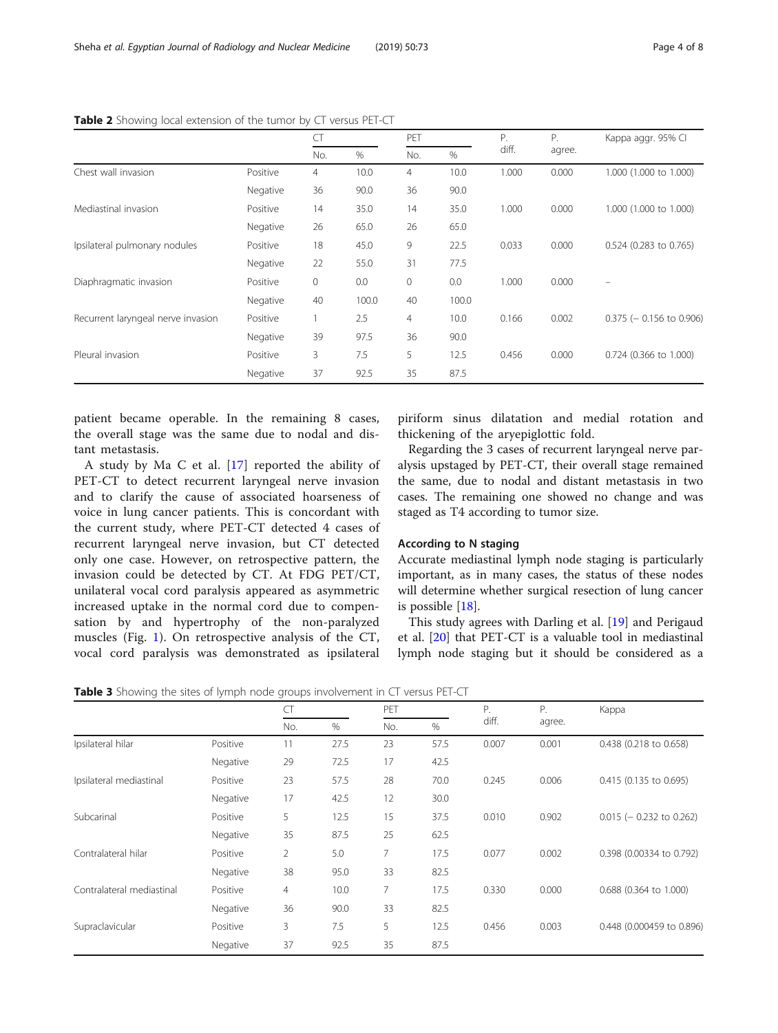|                                    |          | L I          |       | PET          |       |       | Ρ.     | Kappa aggr. 95% Cl         |
|------------------------------------|----------|--------------|-------|--------------|-------|-------|--------|----------------------------|
|                                    |          | No.          | %     | No.          | %     | diff. | agree. |                            |
| Chest wall invasion                | Positive | 4            | 10.0  | 4            | 10.0  | 1.000 | 0.000  | 1.000 (1.000 to 1.000)     |
|                                    | Negative | 36           | 90.0  | 36           | 90.0  |       |        |                            |
| Mediastinal invasion               | Positive | 14           | 35.0  | 14           | 35.0  | 1.000 | 0.000  | 1.000 (1.000 to 1.000)     |
|                                    | Negative | 26           | 65.0  | 26           | 65.0  |       |        |                            |
| Ipsilateral pulmonary nodules      | Positive | 18           | 45.0  | 9            | 22.5  | 0.033 | 0.000  | 0.524 (0.283 to 0.765)     |
|                                    | Negative | 22           | 55.0  | 31           | 77.5  |       |        |                            |
| Diaphragmatic invasion             | Positive | $\mathbf{0}$ | 0.0   | $\mathbf{0}$ | 0.0   | 1.000 | 0.000  |                            |
|                                    | Negative | 40           | 100.0 | 40           | 100.0 |       |        |                            |
| Recurrent laryngeal nerve invasion | Positive |              | 2.5   | 4            | 10.0  | 0.166 | 0.002  | $0.375$ (- 0.156 to 0.906) |
|                                    | Negative | 39           | 97.5  | 36           | 90.0  |       |        |                            |
| Pleural invasion                   | Positive | 3            | 7.5   | 5            | 12.5  | 0.456 | 0.000  | 0.724 (0.366 to 1.000)     |
|                                    | Negative | 37           | 92.5  | 35           | 87.5  |       |        |                            |

<span id="page-3-0"></span>Table 2 Showing local extension of the tumor by CT versus PET-CT

patient became operable. In the remaining 8 cases, the overall stage was the same due to nodal and distant metastasis.

A study by Ma C et al. [[17\]](#page-7-0) reported the ability of PET-CT to detect recurrent laryngeal nerve invasion and to clarify the cause of associated hoarseness of voice in lung cancer patients. This is concordant with the current study, where PET-CT detected 4 cases of recurrent laryngeal nerve invasion, but CT detected only one case. However, on retrospective pattern, the invasion could be detected by CT. At FDG PET/CT, unilateral vocal cord paralysis appeared as asymmetric increased uptake in the normal cord due to compensation by and hypertrophy of the non-paralyzed muscles (Fig. [1](#page-4-0)). On retrospective analysis of the CT, vocal cord paralysis was demonstrated as ipsilateral

piriform sinus dilatation and medial rotation and thickening of the aryepiglottic fold.

Regarding the 3 cases of recurrent laryngeal nerve paralysis upstaged by PET-CT, their overall stage remained the same, due to nodal and distant metastasis in two cases. The remaining one showed no change and was staged as T4 according to tumor size.

#### According to N staging

Accurate mediastinal lymph node staging is particularly important, as in many cases, the status of these nodes will determine whether surgical resection of lung cancer is possible [[18](#page-7-0)].

This study agrees with Darling et al. [\[19](#page-7-0)] and Perigaud et al. [[20\]](#page-7-0) that PET-CT is a valuable tool in mediastinal lymph node staging but it should be considered as a

Table 3 Showing the sites of lymph node groups involvement in CT versus PET-CT

|                           |          | CT             |      | PET |      |       | Ρ.     | Kappa                      |
|---------------------------|----------|----------------|------|-----|------|-------|--------|----------------------------|
|                           |          | No.            | %    | No. | $\%$ | diff. | agree. |                            |
| Ipsilateral hilar         | Positive | 11             | 27.5 | 23  | 57.5 | 0.007 | 0.001  | 0.438 (0.218 to 0.658)     |
|                           | Negative | 29             | 72.5 | 17  | 42.5 |       |        |                            |
| Ipsilateral mediastinal   | Positive | 23             | 57.5 | 28  | 70.0 | 0.245 | 0.006  | 0.415 (0.135 to 0.695)     |
|                           | Negative | 17             | 42.5 | 12  | 30.0 |       |        |                            |
| Subcarinal                | Positive | 5              | 12.5 | 15  | 37.5 | 0.010 | 0.902  | $0.015$ (- 0.232 to 0.262) |
|                           | Negative | 35             | 87.5 | 25  | 62.5 |       |        |                            |
| Contralateral hilar       | Positive | $\overline{2}$ | 5.0  | 7   | 17.5 | 0.077 | 0.002  | 0.398 (0.00334 to 0.792)   |
|                           | Negative | 38             | 95.0 | 33  | 82.5 |       |        |                            |
| Contralateral mediastinal | Positive | 4              | 10.0 | 7   | 17.5 | 0.330 | 0.000  | 0.688 (0.364 to 1.000)     |
|                           | Negative | 36             | 90.0 | 33  | 82.5 |       |        |                            |
| Supraclavicular           | Positive | 3              | 7.5  | 5   | 12.5 | 0.456 | 0.003  | 0.448 (0.000459 to 0.896)  |
|                           | Negative | 37             | 92.5 | 35  | 87.5 |       |        |                            |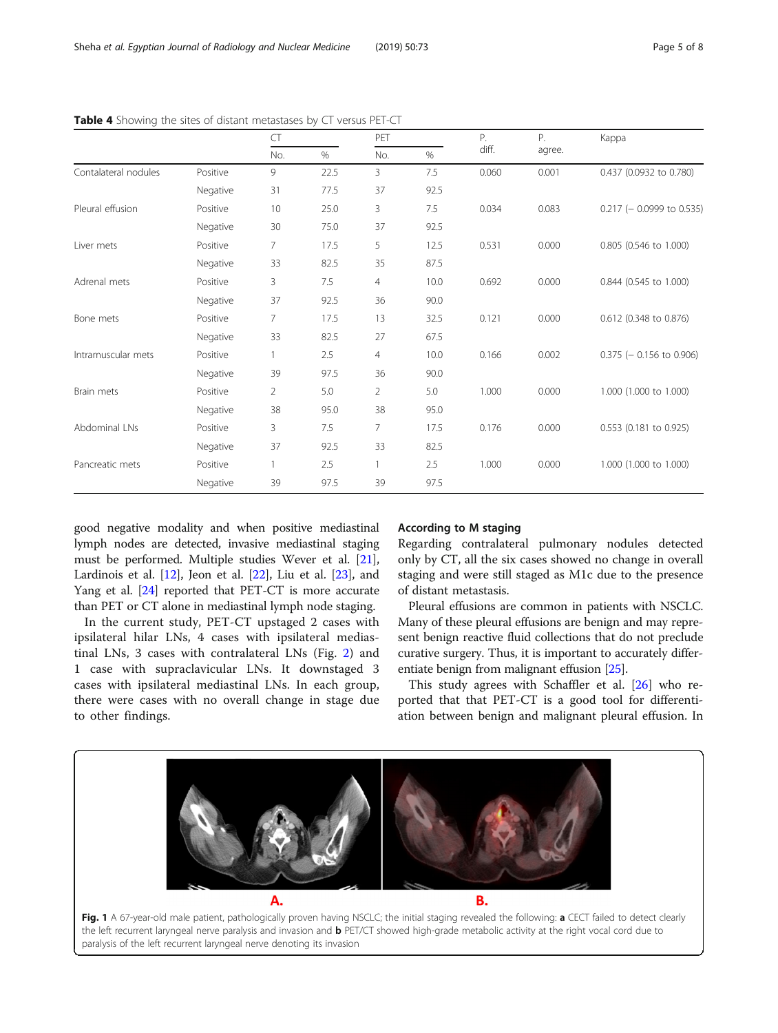|                      |          | CT  |      | PET |      | Ρ.    | Ρ.     | Kappa                       |
|----------------------|----------|-----|------|-----|------|-------|--------|-----------------------------|
|                      |          | No. | $\%$ | No. | $\%$ | diff. | agree. |                             |
| Contalateral nodules | Positive | 9   | 22.5 | 3   | 7.5  | 0.060 | 0.001  | 0.437 (0.0932 to 0.780)     |
|                      | Negative | 31  | 77.5 | 37  | 92.5 |       |        |                             |
| Pleural effusion     | Positive | 10  | 25.0 | 3   | 7.5  | 0.034 | 0.083  | $0.217$ (- 0.0999 to 0.535) |
|                      | Negative | 30  | 75.0 | 37  | 92.5 |       |        |                             |
| Liver mets           | Positive | 7   | 17.5 | 5   | 12.5 | 0.531 | 0.000  | 0.805 (0.546 to 1.000)      |
|                      | Negative | 33  | 82.5 | 35  | 87.5 |       |        |                             |
| Adrenal mets         | Positive | 3   | 7.5  | 4   | 10.0 | 0.692 | 0.000  | 0.844 (0.545 to 1.000)      |
|                      | Negative | 37  | 92.5 | 36  | 90.0 |       |        |                             |
| Bone mets            | Positive | 7   | 17.5 | 13  | 32.5 | 0.121 | 0.000  | 0.612 (0.348 to 0.876)      |
|                      | Negative | 33  | 82.5 | 27  | 67.5 |       |        |                             |
| Intramuscular mets   | Positive | 1.  | 2.5  | 4   | 10.0 | 0.166 | 0.002  | $0.375$ (- 0.156 to 0.906)  |
|                      | Negative | 39  | 97.5 | 36  | 90.0 |       |        |                             |
| Brain mets           | Positive | 2   | 5.0  | 2   | 5.0  | 1.000 | 0.000  | 1.000 (1.000 to 1.000)      |
|                      | Negative | 38  | 95.0 | 38  | 95.0 |       |        |                             |
| Abdominal LNs        | Positive | 3   | 7.5  | 7   | 17.5 | 0.176 | 0.000  | 0.553 (0.181 to 0.925)      |
|                      | Negative | 37  | 92.5 | 33  | 82.5 |       |        |                             |
| Pancreatic mets      | Positive |     | 2.5  | 1   | 2.5  | 1.000 | 0.000  | 1.000 (1.000 to 1.000)      |
|                      | Negative | 39  | 97.5 | 39  | 97.5 |       |        |                             |

<span id="page-4-0"></span>Table 4 Showing the sites of distant metastases by CT versus PET-CT

good negative modality and when positive mediastinal lymph nodes are detected, invasive mediastinal staging must be performed. Multiple studies Wever et al. [[21](#page-7-0)], Lardinois et al.  $[12]$  $[12]$  $[12]$ , Jeon et al.  $[22]$  $[22]$ , Liu et al.  $[23]$  $[23]$ , and Yang et al. [[24](#page-7-0)] reported that PET-CT is more accurate than PET or CT alone in mediastinal lymph node staging.

In the current study, PET-CT upstaged 2 cases with ipsilateral hilar LNs, 4 cases with ipsilateral mediastinal LNs, 3 cases with contralateral LNs (Fig. [2\)](#page-5-0) and 1 case with supraclavicular LNs. It downstaged 3 cases with ipsilateral mediastinal LNs. In each group, there were cases with no overall change in stage due to other findings.

#### According to M staging

Regarding contralateral pulmonary nodules detected only by CT, all the six cases showed no change in overall staging and were still staged as M1c due to the presence of distant metastasis.

Pleural effusions are common in patients with NSCLC. Many of these pleural effusions are benign and may represent benign reactive fluid collections that do not preclude curative surgery. Thus, it is important to accurately differentiate benign from malignant effusion [\[25\]](#page-7-0).

This study agrees with Schaffler et al. [[26](#page-7-0)] who reported that that PET-CT is a good tool for differentiation between benign and malignant pleural effusion. In

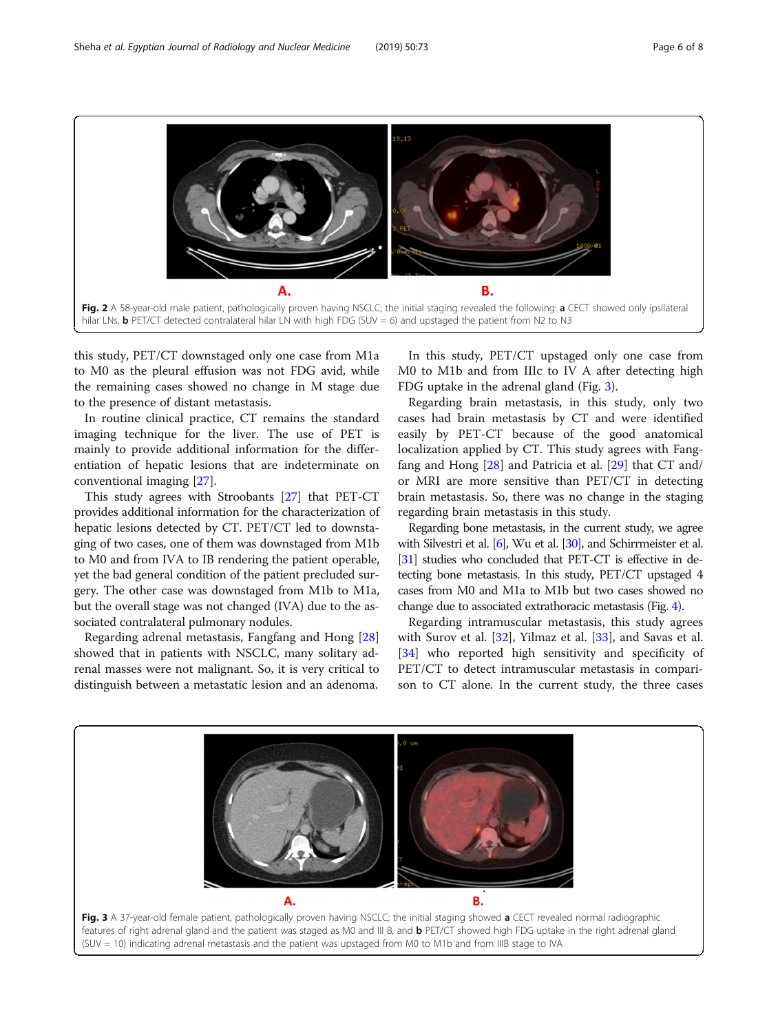<span id="page-5-0"></span>

this study, PET/CT downstaged only one case from M1a to M0 as the pleural effusion was not FDG avid, while the remaining cases showed no change in M stage due to the presence of distant metastasis.

In routine clinical practice, CT remains the standard imaging technique for the liver. The use of PET is mainly to provide additional information for the differentiation of hepatic lesions that are indeterminate on conventional imaging [[27\]](#page-7-0).

This study agrees with Stroobants [\[27\]](#page-7-0) that PET-CT provides additional information for the characterization of hepatic lesions detected by CT. PET/CT led to downstaging of two cases, one of them was downstaged from M1b to M0 and from IVA to IB rendering the patient operable, yet the bad general condition of the patient precluded surgery. The other case was downstaged from M1b to M1a, but the overall stage was not changed (IVA) due to the associated contralateral pulmonary nodules.

Regarding adrenal metastasis, Fangfang and Hong [[28](#page-7-0)] showed that in patients with NSCLC, many solitary adrenal masses were not malignant. So, it is very critical to distinguish between a metastatic lesion and an adenoma.

In this study, PET/CT upstaged only one case from M0 to M1b and from IIIc to IV A after detecting high FDG uptake in the adrenal gland (Fig. 3).

Regarding brain metastasis, in this study, only two cases had brain metastasis by CT and were identified easily by PET-CT because of the good anatomical localization applied by CT. This study agrees with Fangfang and Hong [[28\]](#page-7-0) and Patricia et al. [[29\]](#page-7-0) that CT and/ or MRI are more sensitive than PET/CT in detecting brain metastasis. So, there was no change in the staging regarding brain metastasis in this study.

Regarding bone metastasis, in the current study, we agree with Silvestri et al. [\[6\]](#page-7-0), Wu et al. [\[30](#page-7-0)], and Schirrmeister et al. [[31\]](#page-7-0) studies who concluded that PET-CT is effective in detecting bone metastasis. In this study, PET/CT upstaged 4 cases from M0 and M1a to M1b but two cases showed no change due to associated extrathoracic metastasis (Fig. [4](#page-6-0)).

Regarding intramuscular metastasis, this study agrees with Surov et al. [[32](#page-7-0)], Yilmaz et al. [\[33\]](#page-7-0), and Savas et al. [[34\]](#page-7-0) who reported high sensitivity and specificity of PET/CT to detect intramuscular metastasis in comparison to CT alone. In the current study, the three cases

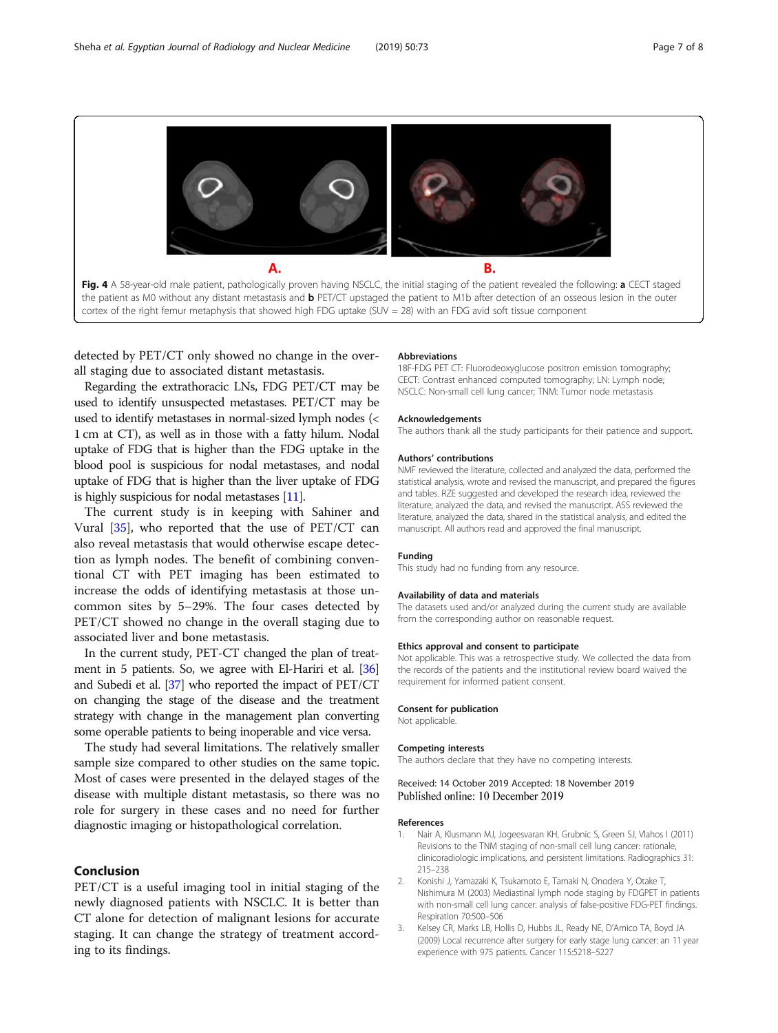<span id="page-6-0"></span>

detected by PET/CT only showed no change in the overall staging due to associated distant metastasis.

Regarding the extrathoracic LNs, FDG PET/CT may be used to identify unsuspected metastases. PET/CT may be used to identify metastases in normal-sized lymph nodes (< 1 cm at CT), as well as in those with a fatty hilum. Nodal uptake of FDG that is higher than the FDG uptake in the blood pool is suspicious for nodal metastases, and nodal uptake of FDG that is higher than the liver uptake of FDG is highly suspicious for nodal metastases [[11\]](#page-7-0).

The current study is in keeping with Sahiner and Vural [\[35](#page-7-0)], who reported that the use of PET/CT can also reveal metastasis that would otherwise escape detection as lymph nodes. The benefit of combining conventional CT with PET imaging has been estimated to increase the odds of identifying metastasis at those uncommon sites by 5–29%. The four cases detected by PET/CT showed no change in the overall staging due to associated liver and bone metastasis.

In the current study, PET-CT changed the plan of treatment in 5 patients. So, we agree with El-Hariri et al. [\[36](#page-7-0)] and Subedi et al. [\[37](#page-7-0)] who reported the impact of PET/CT on changing the stage of the disease and the treatment strategy with change in the management plan converting some operable patients to being inoperable and vice versa.

The study had several limitations. The relatively smaller sample size compared to other studies on the same topic. Most of cases were presented in the delayed stages of the disease with multiple distant metastasis, so there was no role for surgery in these cases and no need for further diagnostic imaging or histopathological correlation.

#### Conclusion

PET/CT is a useful imaging tool in initial staging of the newly diagnosed patients with NSCLC. It is better thаn СT alone for detection of malignant lesions for accurate staging. It can change the strategy of treatment according to its findings.

#### **Abbreviations**

18F-FDG PET CT: Fluorodeoxyglucose positron emission tomography; CECT: Contrast enhanced computed tomography; LN: Lymph node; NSCLC: Non-small cell lung cancer; TNM: Tumor node metastasis

#### Acknowledgements

The authors thank all the study participants for their patience and support.

#### Authors' contributions

NMF reviewed the literature, collected and analyzed the data, performed the statistical analysis, wrote and revised the manuscript, and prepared the figures and tables. RZE suggested and developed the research idea, reviewed the literature, analyzed the data, and revised the manuscript. ASS reviewed the literature, analyzed the data, shared in the statistical analysis, and edited the manuscript. All authors read and approved the final manuscript.

#### Funding

This study had no funding from any resource.

#### Availability of data and materials

The datasets used and/or analyzed during the current study are available from the corresponding author on reasonable request.

#### Ethics approval and consent to participate

Not applicable. This was a retrospective study. We collected the data from the records of the patients and the institutional review board waived the requirement for informed patient consent.

#### Consent for publication

Not applicable.

#### Competing interests

The authors declare that they have no competing interests.

#### Received: 14 October 2019 Accepted: 18 November 2019 Published online: 10 December 2019

#### References

- 1. Nair A, Klusmann MJ, Jogeesvaran KH, Grubnic S, Green SJ, Vlahos I (2011) Revisions to the TNM staging of non-small cell lung cancer: rationale, clinicoradiologic implications, and persistent limitations. Radiographics 31: 215–238
- 2. Konishi J, Yamazaki K, Tsukamoto E, Tamaki N, Onodera Y, Otake T, Nishimura M (2003) Mediastinal lymph node staging by FDGPET in patients with non-small cell lung cancer: analysis of false-positive FDG-PET findings. Respiration 70:500–506
- 3. Kelsey CR, Marks LB, Hollis D, Hubbs JL, Ready NE, D'Amico TA, Boyd JA (2009) Local recurrence after surgery for early stage lung cancer: an 11 year experience with 975 patients. Cancer 115:5218–5227